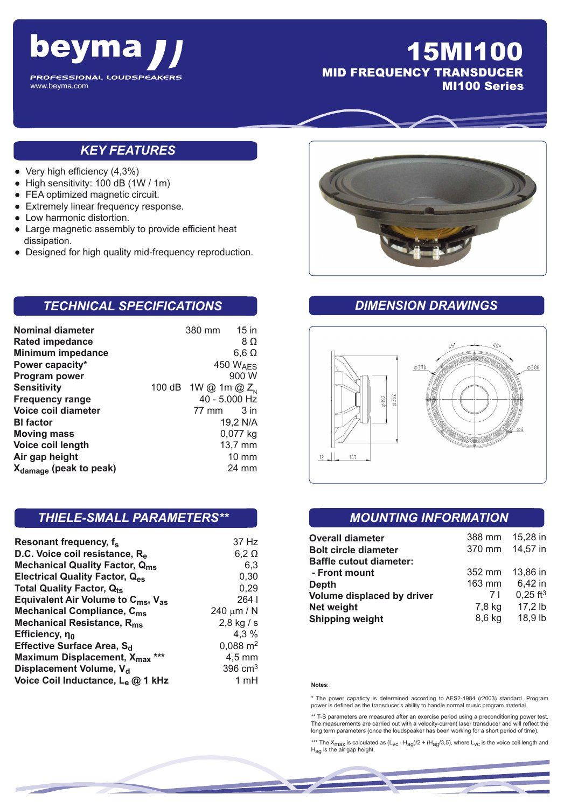

# 15MI100 MID FREQUENCY TRANSDUCER MI100 Series

### *KEY FEATURES*

- $\bullet$  Very high efficiency (4,3%)
- High sensitivity: 100 dB (1W / 1m)
- FEA optimized magnetic circuit.
- Extremely linear frequency response.
- Low harmonic distortion.
- Large magnetic assembly to provide efficient heat dissipation.
- Designed for high quality mid-frequency reproduction.

## *TECHNICAL SPECIFICATIONS*

| <b>Nominal diameter</b>            | 380 mm                   | 15 in                |
|------------------------------------|--------------------------|----------------------|
| <b>Rated impedance</b>             |                          | 8Ω                   |
| Minimum impedance                  |                          | $6,6 \Omega$         |
| Power capacity*                    |                          | 450 W <sub>AFS</sub> |
| Program power                      |                          | 900 W                |
| <b>Sensitivity</b>                 | 100 dB 1W @ 1m @ $Z_{N}$ |                      |
| <b>Frequency range</b>             |                          | 40 - 5.000 Hz        |
| Voice coil diameter                | 77 mm                    | 3 in                 |
| <b>BI</b> factor                   |                          | 19,2 N/A             |
| <b>Moving mass</b>                 |                          | 0,077 kg             |
| Voice coil length                  |                          | 13,7 mm              |
| Air gap height                     |                          | $10 \text{ mm}$      |
| X <sub>damage</sub> (peak to peak) |                          | 24 mm                |

#### *THIELE-SMALL PARAMETERS\*\**

| Resonant frequency, f <sub>s</sub>                         | 37 Hz               |
|------------------------------------------------------------|---------------------|
| D.C. Voice coil resistance, R <sub>e</sub>                 | $6,2 \Omega$        |
| <b>Mechanical Quality Factor, Qms</b>                      | 6,3                 |
| <b>Electrical Quality Factor, Q<sub>es</sub></b>           | 0,30                |
| <b>Total Quality Factor, Qts</b>                           | 0,29                |
| Equivalent Air Volume to $C_{\text{ms}}$ , $V_{\text{as}}$ | 2641                |
| <b>Mechanical Compliance, C<sub>ms</sub></b>               | 240 $\mu$ m / N     |
| Mechanical Resistance, R <sub>ms</sub>                     | $2,8$ kg / s        |
| Efficiency, η <sub>0</sub>                                 | 4,3 %               |
| Effective Surface Area, S <sub>d</sub>                     | $0,088 \text{ m}^2$ |
| Maximum Displacement, X <sub>max</sub><br>***              | $4,5$ mm            |
| Displacement Volume, V <sub>d</sub>                        | 396 $cm3$           |
| Voice Coil Inductance, L <sub>e</sub> @ 1 kHz              | 1 mH                |



#### *DIMENSION DRAWINGS*



#### *MOUNTING INFORMATION*

| <b>Overall diameter</b>                                       | 388 mm<br>370 mm | 15,28 in<br>14,57 in   |
|---------------------------------------------------------------|------------------|------------------------|
| <b>Bolt circle diameter</b><br><b>Baffle cutout diameter:</b> |                  |                        |
| - Front mount                                                 | 352 mm           | 13.86 in               |
| <b>Depth</b>                                                  | 163 mm           | 6,42 in                |
| Volume displaced by driver                                    | 7 I              | $0.25$ ft <sup>3</sup> |
| Net weight                                                    | 7,8 kg           | $17.2$ lb              |
| <b>Shipping weight</b>                                        | 8,6 kg           | 18,9 lb                |

#### **Notes**:

\* The power capaticty is determined according to AES2-1984 (r2003) standard. Program power is defined as the transducer's ability to handle normal music program material.

\*\* T-S parameters are measured after an exercise period using a preconditioning power test. The measurements are carried out with a velocity-current laser transducer and will reflect the long term parameters (once the loudspeaker has been working for a short period of time).

\*\*\* The  $X_{\text{max}}$  is calculated as  $(L_{\text{VC}} - H_{\text{ag}})/2 + (H_{\text{ag}}/3, 5)$ , where  $L_{\text{VC}}$  is the voice coil length and  $H_{\text{ag}}$  is the air gap height.